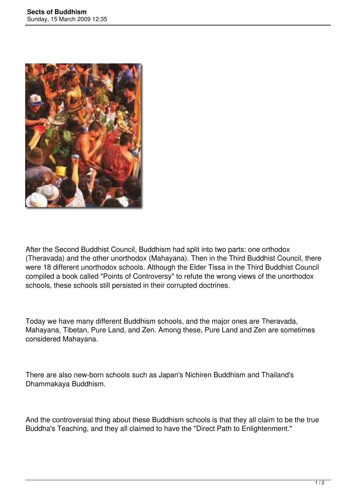

After the Second Buddhist Council, Buddhism had split into two parts: one orthodox (Theravada) and the other unorthodox (Mahayana). Then in the Third Buddhist Council, there were 18 different unorthodox schools. Although the Elder Tissa in the Third Buddhist Council compiled a book called "Points of Controversy" to refute the wrong views of the unorthodox schools, these schools still persisted in their corrupted doctrines.

Today we have many different Buddhism schools, and the major ones are Theravada, Mahayana, Tibetan, Pure Land, and Zen. Among these, Pure Land and Zen are sometimes considered Mahayana.

There are also new-born schools such as Japan's Nichiren Buddhism and Thailand's Dhammakaya Buddhism.

And the controversial thing about these Buddhism schools is that they all claim to be the true Buddha's Teaching, and they all claimed to have the "Direct Path to Enlightenment."